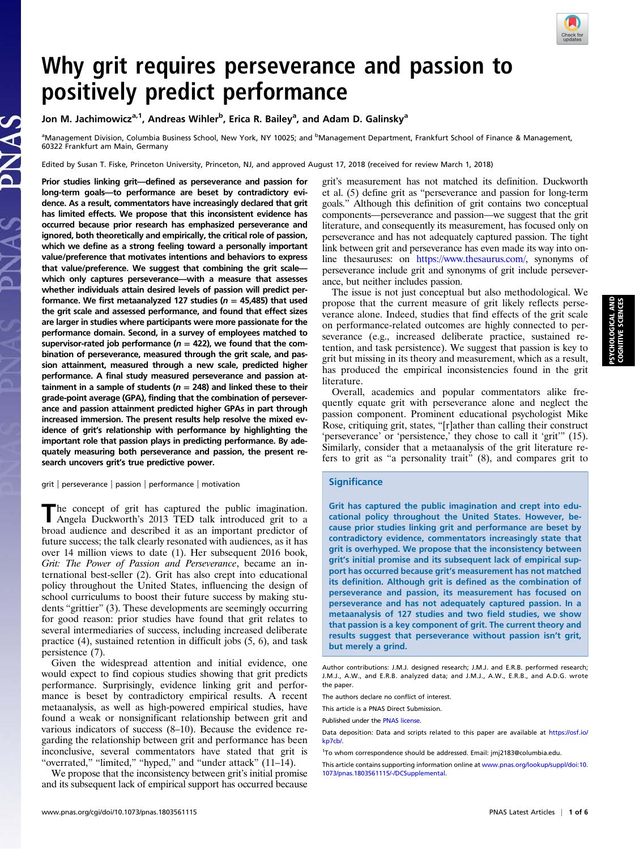

# Why grit requires perseverance and passion to positively predict performance

## Jon M. Jachimowicz<sup>a, 1</sup>, Andreas Wihler<sup>b</sup>, Erica R. Bailey<sup>a</sup>, and Adam D. Galinsky<sup>a</sup>

<sup>a</sup>Management Division, Columbia Business School, New York, NY 10025; and <sup>b</sup>Management Department, Frankfurt School of Finance & Management, 60322 Frankfurt am Main, Germany

Edited by Susan T. Fiske, Princeton University, Princeton, NJ, and approved August 17, 2018 (received for review March 1, 2018)

Prior studies linking grit—defined as perseverance and passion for long-term goals—to performance are beset by contradictory evidence. As a result, commentators have increasingly declared that grit has limited effects. We propose that this inconsistent evidence has occurred because prior research has emphasized perseverance and ignored, both theoretically and empirically, the critical role of passion, which we define as a strong feeling toward a personally important value/preference that motivates intentions and behaviors to express that value/preference. We suggest that combining the grit scale which only captures perseverance—with a measure that assesses whether individuals attain desired levels of passion will predict performance. We first metaanalyzed 127 studies ( $n = 45,485$ ) that used the grit scale and assessed performance, and found that effect sizes are larger in studies where participants were more passionate for the performance domain. Second, in a survey of employees matched to supervisor-rated job performance ( $n = 422$ ), we found that the combination of perseverance, measured through the grit scale, and passion attainment, measured through a new scale, predicted higher performance. A final study measured perseverance and passion attainment in a sample of students ( $n = 248$ ) and linked these to their grade-point average (GPA), finding that the combination of perseverance and passion attainment predicted higher GPAs in part through increased immersion. The present results help resolve the mixed evidence of grit's relationship with performance by highlighting the important role that passion plays in predicting performance. By adequately measuring both perseverance and passion, the present research uncovers grit's true predictive power.

grit | perseverance | passion | performance | motivation

The concept of grit has captured the public imagination. Angela Duckworth's 2013 TED talk introduced grit to a broad audience and described it as an important predictor of future success; the talk clearly resonated with audiences, as it has over 14 million views to date (1). Her subsequent 2016 book, Grit: The Power of Passion and Perseverance, became an international best-seller (2). Grit has also crept into educational policy throughout the United States, influencing the design of school curriculums to boost their future success by making students "grittier" (3). These developments are seemingly occurring for good reason: prior studies have found that grit relates to several intermediaries of success, including increased deliberate practice (4), sustained retention in difficult jobs (5, 6), and task persistence (7).

Given the widespread attention and initial evidence, one would expect to find copious studies showing that grit predicts performance. Surprisingly, evidence linking grit and performance is beset by contradictory empirical results. A recent metaanalysis, as well as high-powered empirical studies, have found a weak or nonsignificant relationship between grit and various indicators of success (8–10). Because the evidence regarding the relationship between grit and performance has been inconclusive, several commentators have stated that grit is "overrated," "limited," "hyped," and "under attack" (11–14).

We propose that the inconsistency between grit's initial promise and its subsequent lack of empirical support has occurred because

grit's measurement has not matched its definition. Duckworth et al. (5) define grit as "perseverance and passion for long-term goals." Although this definition of grit contains two conceptual components—perseverance and passion—we suggest that the grit literature, and consequently its measurement, has focused only on perseverance and has not adequately captured passion. The tight link between grit and perseverance has even made its way into online thesauruses: on <https://www.thesaurus.com/>, synonyms of perseverance include grit and synonyms of grit include perseverance, but neither includes passion.

The issue is not just conceptual but also methodological. We propose that the current measure of grit likely reflects perseverance alone. Indeed, studies that find effects of the grit scale on performance-related outcomes are highly connected to perseverance (e.g., increased deliberate practice, sustained retention, and task persistence). We suggest that passion is key to grit but missing in its theory and measurement, which as a result, has produced the empirical inconsistencies found in the grit literature.

Overall, academics and popular commentators alike frequently equate grit with perseverance alone and neglect the passion component. Prominent educational psychologist Mike Rose, critiquing grit, states, "[r]ather than calling their construct 'perseverance' or 'persistence,' they chose to call it 'grit'" (15). Similarly, consider that a metaanalysis of the grit literature refers to grit as "a personality trait" (8), and compares grit to

## **Significance**

Grit has captured the public imagination and crept into educational policy throughout the United States. However, because prior studies linking grit and performance are beset by contradictory evidence, commentators increasingly state that grit is overhyped. We propose that the inconsistency between grit's initial promise and its subsequent lack of empirical support has occurred because grit's measurement has not matched its definition. Although grit is defined as the combination of perseverance and passion, its measurement has focused on perseverance and has not adequately captured passion. In a metaanalysis of 127 studies and two field studies, we show that passion is a key component of grit. The current theory and results suggest that perseverance without passion isn't grit, but merely a grind.

The authors declare no conflict of interest.

This article is a PNAS Direct Submission.

Published under the [PNAS license.](http://www.pnas.org/site/aboutpnas/licenses.xhtml)

Data deposition: Data and scripts related to this paper are available at [https://osf.io/](https://osf.io/kp7cb/) [kp7cb/.](https://osf.io/kp7cb/)

1 To whom correspondence should be addressed. Email: [jmj2183@columbia.edu](mailto:jmj2183@columbia.edu).

This article contains supporting information online at [www.pnas.org/lookup/suppl/doi:10.](http://www.pnas.org/lookup/suppl/doi:10.1073/pnas.1803561115/-/DCSupplemental) [1073/pnas.1803561115/-/DCSupplemental](http://www.pnas.org/lookup/suppl/doi:10.1073/pnas.1803561115/-/DCSupplemental).

Author contributions: J.M.J. designed research; J.M.J. and E.R.B. performed research; J.M.J., A.W., and E.R.B. analyzed data; and J.M.J., A.W., E.R.B., and A.D.G. wrote the paper.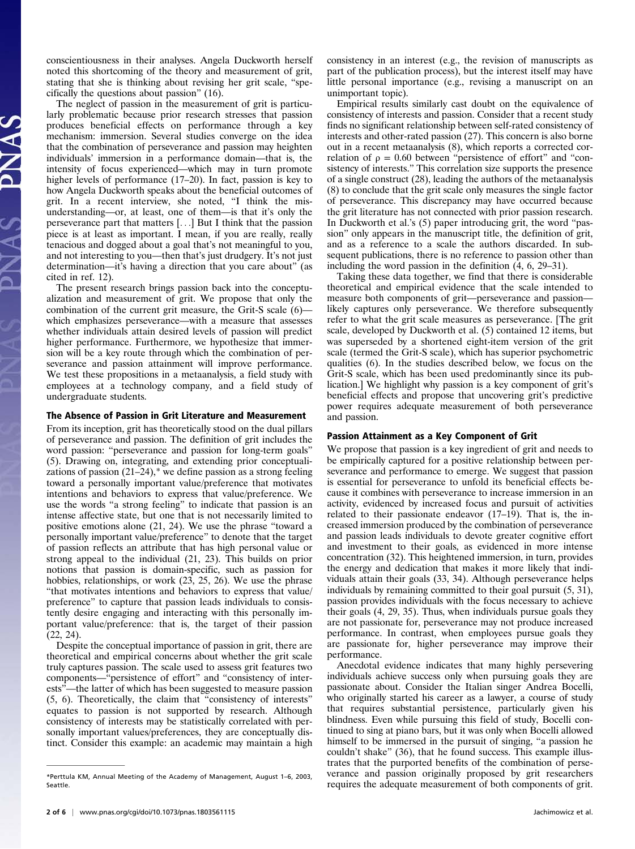conscientiousness in their analyses. Angela Duckworth herself noted this shortcoming of the theory and measurement of grit, stating that she is thinking about revising her grit scale, "specifically the questions about passion" (16).

The neglect of passion in the measurement of grit is particularly problematic because prior research stresses that passion produces beneficial effects on performance through a key mechanism: immersion. Several studies converge on the idea that the combination of perseverance and passion may heighten individuals' immersion in a performance domain—that is, the intensity of focus experienced—which may in turn promote higher levels of performance (17–20). In fact, passion is key to how Angela Duckworth speaks about the beneficial outcomes of grit. In a recent interview, she noted, "I think the misunderstanding—or, at least, one of them—is that it's only the perseverance part that matters [...] But I think that the passion piece is at least as important. I mean, if you are really, really tenacious and dogged about a goal that's not meaningful to you, and not interesting to you—then that's just drudgery. It's not just determination—it's having a direction that you care about" (as cited in ref. 12).

The present research brings passion back into the conceptualization and measurement of grit. We propose that only the combination of the current grit measure, the Grit-S scale (6) which emphasizes perseverance—with a measure that assesses whether individuals attain desired levels of passion will predict higher performance. Furthermore, we hypothesize that immersion will be a key route through which the combination of perseverance and passion attainment will improve performance. We test these propositions in a metaanalysis, a field study with employees at a technology company, and a field study of undergraduate students.

#### The Absence of Passion in Grit Literature and Measurement

From its inception, grit has theoretically stood on the dual pillars of perseverance and passion. The definition of grit includes the word passion: "perseverance and passion for long-term goals" (5). Drawing on, integrating, and extending prior conceptualizations of passion  $(21–24)$ ,<sup>\*</sup> we define passion as a strong feeling toward a personally important value/preference that motivates intentions and behaviors to express that value/preference. We use the words "a strong feeling" to indicate that passion is an intense affective state, but one that is not necessarily limited to positive emotions alone (21, 24). We use the phrase "toward a personally important value/preference" to denote that the target of passion reflects an attribute that has high personal value or strong appeal to the individual (21, 23). This builds on prior notions that passion is domain-specific, such as passion for hobbies, relationships, or work (23, 25, 26). We use the phrase "that motivates intentions and behaviors to express that value/ preference" to capture that passion leads individuals to consistently desire engaging and interacting with this personally important value/preference: that is, the target of their passion (22, 24).

Despite the conceptual importance of passion in grit, there are theoretical and empirical concerns about whether the grit scale truly captures passion. The scale used to assess grit features two components—"persistence of effort" and "consistency of interests"—the latter of which has been suggested to measure passion (5, 6). Theoretically, the claim that "consistency of interests" equates to passion is not supported by research. Although consistency of interests may be statistically correlated with personally important values/preferences, they are conceptually distinct. Consider this example: an academic may maintain a high

consistency in an interest (e.g., the revision of manuscripts as part of the publication process), but the interest itself may have little personal importance (e.g., revising a manuscript on an unimportant topic).

Empirical results similarly cast doubt on the equivalence of consistency of interests and passion. Consider that a recent study finds no significant relationship between self-rated consistency of interests and other-rated passion (27). This concern is also borne out in a recent metaanalysis (8), which reports a corrected correlation of  $\rho = 0.60$  between "persistence of effort" and "consistency of interests." This correlation size supports the presence of a single construct (28), leading the authors of the metaanalysis (8) to conclude that the grit scale only measures the single factor of perseverance. This discrepancy may have occurred because the grit literature has not connected with prior passion research. In Duckworth et al.'s (5) paper introducing grit, the word "passion" only appears in the manuscript title, the definition of grit, and as a reference to a scale the authors discarded. In subsequent publications, there is no reference to passion other than including the word passion in the definition (4, 6, 29–31).

Taking these data together, we find that there is considerable theoretical and empirical evidence that the scale intended to measure both components of grit—perseverance and passion likely captures only perseverance. We therefore subsequently refer to what the grit scale measures as perseverance. [The grit scale, developed by Duckworth et al. (5) contained 12 items, but was superseded by a shortened eight-item version of the grit scale (termed the Grit-S scale), which has superior psychometric qualities (6). In the studies described below, we focus on the Grit-S scale, which has been used predominantly since its publication.] We highlight why passion is a key component of grit's beneficial effects and propose that uncovering grit's predictive power requires adequate measurement of both perseverance and passion.

## Passion Attainment as a Key Component of Grit

We propose that passion is a key ingredient of grit and needs to be empirically captured for a positive relationship between perseverance and performance to emerge. We suggest that passion is essential for perseverance to unfold its beneficial effects because it combines with perseverance to increase immersion in an activity, evidenced by increased focus and pursuit of activities related to their passionate endeavor (17–19). That is, the increased immersion produced by the combination of perseverance and passion leads individuals to devote greater cognitive effort and investment to their goals, as evidenced in more intense concentration (32). This heightened immersion, in turn, provides the energy and dedication that makes it more likely that individuals attain their goals (33, 34). Although perseverance helps individuals by remaining committed to their goal pursuit (5, 31), passion provides individuals with the focus necessary to achieve their goals (4, 29, 35). Thus, when individuals pursue goals they are not passionate for, perseverance may not produce increased performance. In contrast, when employees pursue goals they are passionate for, higher perseverance may improve their performance.

Anecdotal evidence indicates that many highly persevering individuals achieve success only when pursuing goals they are passionate about. Consider the Italian singer Andrea Bocelli, who originally started his career as a lawyer, a course of study that requires substantial persistence, particularly given his blindness. Even while pursuing this field of study, Bocelli continued to sing at piano bars, but it was only when Bocelli allowed himself to be immersed in the pursuit of singing, "a passion he couldn't shake" (36), that he found success. This example illustrates that the purported benefits of the combination of perseverance and passion originally proposed by grit researchers requires the adequate measurement of both components of grit.

<sup>\*</sup>Perttula KM, Annual Meeting of the Academy of Management, August 1–6, 2003, Seattle.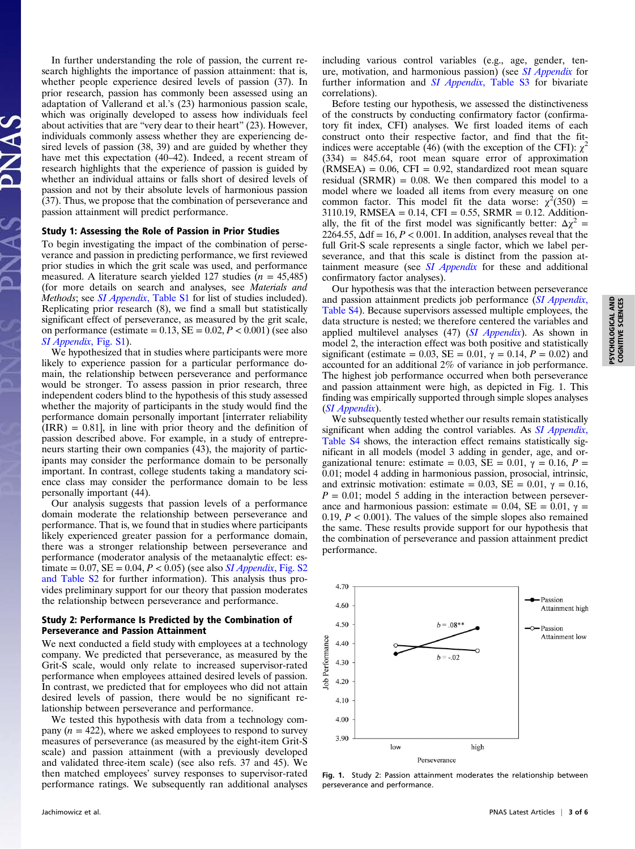In further understanding the role of passion, the current research highlights the importance of passion attainment: that is, whether people experience desired levels of passion (37). In prior research, passion has commonly been assessed using an adaptation of Vallerand et al.'s (23) harmonious passion scale, which was originally developed to assess how individuals feel about activities that are "very dear to their heart" (23). However, individuals commonly assess whether they are experiencing desired levels of passion (38, 39) and are guided by whether they have met this expectation (40–42). Indeed, a recent stream of research highlights that the experience of passion is guided by whether an individual attains or falls short of desired levels of passion and not by their absolute levels of harmonious passion (37). Thus, we propose that the combination of perseverance and passion attainment will predict performance.

#### Study 1: Assessing the Role of Passion in Prior Studies

To begin investigating the impact of the combination of perseverance and passion in predicting performance, we first reviewed prior studies in which the grit scale was used, and performance measured. A literature search yielded 127 studies ( $n = 45,485$ ) (for more details on search and analyses, see Materials and Methods; see *SI Appendix*, Table *S1* for list of studies included). Replicating prior research (8), we find a small but statistically significant effect of perseverance, as measured by the grit scale, on performance (estimate =  $0.13$ , SE =  $0.02$ ,  $P < 0.001$ ) (see also [SI Appendix](http://www.pnas.org/lookup/suppl/doi:10.1073/pnas.1803561115/-/DCSupplemental), Fig. S1).

We hypothesized that in studies where participants were more likely to experience passion for a particular performance domain, the relationship between perseverance and performance would be stronger. To assess passion in prior research, three independent coders blind to the hypothesis of this study assessed whether the majority of participants in the study would find the performance domain personally important [interrater reliability  $(IRR) = 0.81$ , in line with prior theory and the definition of passion described above. For example, in a study of entrepreneurs starting their own companies (43), the majority of participants may consider the performance domain to be personally important. In contrast, college students taking a mandatory science class may consider the performance domain to be less personally important (44).

Our analysis suggests that passion levels of a performance domain moderate the relationship between perseverance and performance. That is, we found that in studies where participants likely experienced greater passion for a performance domain, there was a stronger relationship between perseverance and performance (moderator analysis of the metaanalytic effect: estimate = 0.07,  $SE = 0.04$ ,  $P < 0.05$ ) (see also *[SI Appendix](http://www.pnas.org/lookup/suppl/doi:10.1073/pnas.1803561115/-/DCSupplemental)*, Fig. S2 [and Table S2](http://www.pnas.org/lookup/suppl/doi:10.1073/pnas.1803561115/-/DCSupplemental) for further information). This analysis thus provides preliminary support for our theory that passion moderates the relationship between perseverance and performance.

## Study 2: Performance Is Predicted by the Combination of Perseverance and Passion Attainment

We next conducted a field study with employees at a technology company. We predicted that perseverance, as measured by the Grit-S scale, would only relate to increased supervisor-rated performance when employees attained desired levels of passion. In contrast, we predicted that for employees who did not attain desired levels of passion, there would be no significant relationship between perseverance and performance.

We tested this hypothesis with data from a technology company  $(n = 422)$ , where we asked employees to respond to survey measures of perseverance (as measured by the eight-item Grit-S scale) and passion attainment (with a previously developed and validated three-item scale) (see also refs. 37 and 45). We then matched employees' survey responses to supervisor-rated performance ratings. We subsequently ran additional analyses including various control variables (e.g., age, gender, tenure, motivation, and harmonious passion) (see *[SI Appendix](http://www.pnas.org/lookup/suppl/doi:10.1073/pnas.1803561115/-/DCSupplemental)* for further information and *SI Appendix*[, Table S3](http://www.pnas.org/lookup/suppl/doi:10.1073/pnas.1803561115/-/DCSupplemental) for bivariate correlations).

Before testing our hypothesis, we assessed the distinctiveness of the constructs by conducting confirmatory factor (confirmatory fit index, CFI) analyses. We first loaded items of each construct onto their respective factor, and find that the fitindices were acceptable (46) (with the exception of the CFI):  $\chi^2$ (334) = 845.64, root mean square error of approximation  $(RMSEA) = 0.06$ , CFI = 0.92, standardized root mean square residual  $(SRMR) = 0.08$ . We then compared this model to a model where we loaded all items from every measure on one common factor. This model fit the data worse:  $\chi^2(350)$  = 3110.19, RMSEA = 0.14, CFI = 0.55, SRMR = 0.12. Additionally, the fit of the first model was significantly better:  $\Delta \chi^2$  = 2264.55,  $\Delta df = 16, P < 0.001$ . In addition, analyses reveal that the full Grit-S scale represents a single factor, which we label perseverance, and that this scale is distinct from the passion attainment measure (see *[SI Appendix](http://www.pnas.org/lookup/suppl/doi:10.1073/pnas.1803561115/-/DCSupplemental)* for these and additional confirmatory factor analyses).

Our hypothesis was that the interaction between perseverance and passion attainment predicts job performance ([SI Appendix](http://www.pnas.org/lookup/suppl/doi:10.1073/pnas.1803561115/-/DCSupplemental), [Table S4](http://www.pnas.org/lookup/suppl/doi:10.1073/pnas.1803561115/-/DCSupplemental)). Because supervisors assessed multiple employees, the data structure is nested; we therefore centered the variables and applied multilevel analyses (47) ([SI Appendix](http://www.pnas.org/lookup/suppl/doi:10.1073/pnas.1803561115/-/DCSupplemental)). As shown in model 2, the interaction effect was both positive and statistically significant (estimate = 0.03, SE = 0.01,  $\gamma$  = 0.14, P = 0.02) and accounted for an additional 2% of variance in job performance. The highest job performance occurred when both perseverance and passion attainment were high, as depicted in Fig. 1. This finding was empirically supported through simple slopes analyses ([SI Appendix](http://www.pnas.org/lookup/suppl/doi:10.1073/pnas.1803561115/-/DCSupplemental)).

We subsequently tested whether our results remain statistically significant when adding the control variables. As [SI Appendix](http://www.pnas.org/lookup/suppl/doi:10.1073/pnas.1803561115/-/DCSupplemental), [Table S4](http://www.pnas.org/lookup/suppl/doi:10.1073/pnas.1803561115/-/DCSupplemental) shows, the interaction effect remains statistically significant in all models (model 3 adding in gender, age, and organizational tenure: estimate = 0.03, SE = 0.01,  $\gamma$  = 0.16, P = 0.01; model 4 adding in harmonious passion, prosocial, intrinsic, and extrinsic motivation: estimate = 0.03, SE = 0.01,  $\gamma$  = 0.16,  $P = 0.01$ ; model 5 adding in the interaction between perseverance and harmonious passion: estimate = 0.04, SE = 0.01,  $\gamma$  = 0.19,  $P < 0.001$ ). The values of the simple slopes also remained the same. These results provide support for our hypothesis that the combination of perseverance and passion attainment predict performance.



Fig. 1. Study 2: Passion attainment moderates the relationship between perseverance and performance.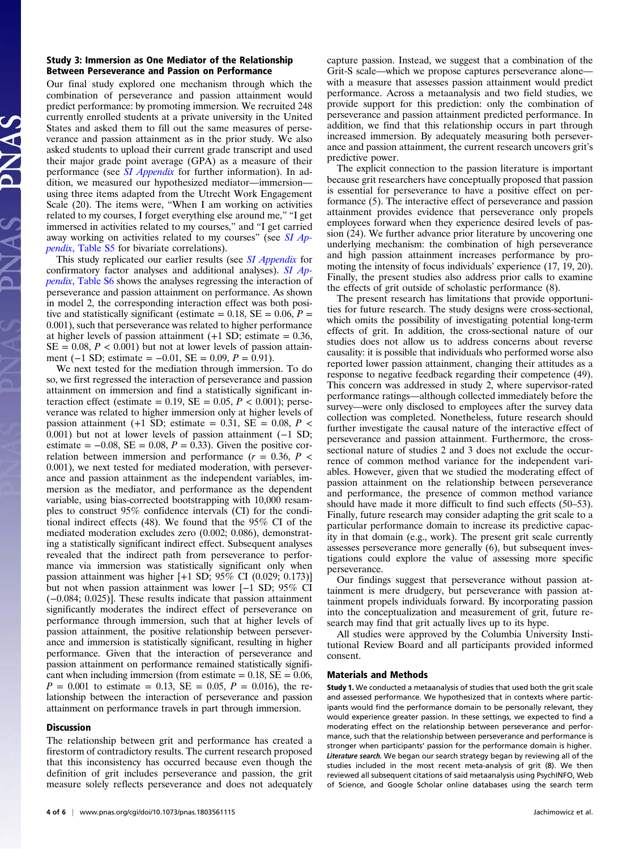#### Study 3: Immersion as One Mediator of the Relationship Between Perseverance and Passion on Performance

Our final study explored one mechanism through which the combination of perseverance and passion attainment would predict performance: by promoting immersion. We recruited 248 currently enrolled students at a private university in the United States and asked them to fill out the same measures of perseverance and passion attainment as in the prior study. We also asked students to upload their current grade transcript and used their major grade point average (GPA) as a measure of their performance (see *[SI Appendix](http://www.pnas.org/lookup/suppl/doi:10.1073/pnas.1803561115/-/DCSupplemental)* for further information). In addition, we measured our hypothesized mediator—immersion using three items adapted from the Utrecht Work Engagement Scale (20). The items were, "When I am working on activities related to my courses, I forget everything else around me," "I get immersed in activities related to my courses," and "I get carried away working on activities related to my courses" (see [SI Ap](http://www.pnas.org/lookup/suppl/doi:10.1073/pnas.1803561115/-/DCSupplemental)pendix[, Table S5](http://www.pnas.org/lookup/suppl/doi:10.1073/pnas.1803561115/-/DCSupplemental) for bivariate correlations).

This study replicated our earlier results (see *[SI Appendix](http://www.pnas.org/lookup/suppl/doi:10.1073/pnas.1803561115/-/DCSupplemental)* for confirmatory factor analyses and additional analyses). [SI Ap](http://www.pnas.org/lookup/suppl/doi:10.1073/pnas.1803561115/-/DCSupplemental)pendix[, Table S6](http://www.pnas.org/lookup/suppl/doi:10.1073/pnas.1803561115/-/DCSupplemental) shows the analyses regressing the interaction of perseverance and passion attainment on performance. As shown in model 2, the corresponding interaction effect was both positive and statistically significant (estimate = 0.18,  $SE = 0.06$ ,  $P =$ 0.001), such that perseverance was related to higher performance at higher levels of passion attainment  $(+1 S$ D; estimate = 0.36,  $SE = 0.08, P < 0.001$ ) but not at lower levels of passion attainment (−1 SD; estimate =  $-0.01$ , SE = 0.09, P = 0.91).

We next tested for the mediation through immersion. To do so, we first regressed the interaction of perseverance and passion attainment on immersion and find a statistically significant interaction effect (estimate = 0.19,  $SE = 0.05$ ,  $P < 0.001$ ); perseverance was related to higher immersion only at higher levels of passion attainment (+1 SD; estimate = 0.31, SE = 0.08,  $P \lt \theta$ 0.001) but not at lower levels of passion attainment (−1 SD; estimate =  $-0.08$ , SE = 0.08, P = 0.33). Given the positive correlation between immersion and performance  $(r = 0.36, P <$ 0.001), we next tested for mediated moderation, with perseverance and passion attainment as the independent variables, immersion as the mediator, and performance as the dependent variable, using bias-corrected bootstrapping with 10,000 resamples to construct 95% confidence intervals (CI) for the conditional indirect effects (48). We found that the 95% CI of the mediated moderation excludes zero (0.002; 0.086), demonstrating a statistically significant indirect effect. Subsequent analyses revealed that the indirect path from perseverance to performance via immersion was statistically significant only when passion attainment was higher [+1 SD; 95% CI (0.029; 0.173)] but not when passion attainment was lower [−1 SD; 95% CI (−0.084; 0.025)]. These results indicate that passion attainment significantly moderates the indirect effect of perseverance on performance through immersion, such that at higher levels of passion attainment, the positive relationship between perseverance and immersion is statistically significant, resulting in higher performance. Given that the interaction of perseverance and passion attainment on performance remained statistically significant when including immersion (from estimate  $= 0.18$ ,  $SE = 0.06$ ,  $P = 0.001$  to estimate = 0.13, SE = 0.05,  $P = 0.016$ ), the relationship between the interaction of perseverance and passion attainment on performance travels in part through immersion.

#### **Discussion**

The relationship between grit and performance has created a firestorm of contradictory results. The current research proposed that this inconsistency has occurred because even though the definition of grit includes perseverance and passion, the grit measure solely reflects perseverance and does not adequately capture passion. Instead, we suggest that a combination of the Grit-S scale—which we propose captures perseverance alone with a measure that assesses passion attainment would predict performance. Across a metaanalysis and two field studies, we provide support for this prediction: only the combination of perseverance and passion attainment predicted performance. In addition, we find that this relationship occurs in part through increased immersion. By adequately measuring both perseverance and passion attainment, the current research uncovers grit's predictive power.

The explicit connection to the passion literature is important because grit researchers have conceptually proposed that passion is essential for perseverance to have a positive effect on performance (5). The interactive effect of perseverance and passion attainment provides evidence that perseverance only propels employees forward when they experience desired levels of passion (24). We further advance prior literature by uncovering one underlying mechanism: the combination of high perseverance and high passion attainment increases performance by promoting the intensity of focus individuals' experience (17, 19, 20). Finally, the present studies also address prior calls to examine the effects of grit outside of scholastic performance (8).

The present research has limitations that provide opportunities for future research. The study designs were cross-sectional, which omits the possibility of investigating potential long-term effects of grit. In addition, the cross-sectional nature of our studies does not allow us to address concerns about reverse causality: it is possible that individuals who performed worse also reported lower passion attainment, changing their attitudes as a response to negative feedback regarding their competence (49). This concern was addressed in study 2, where supervisor-rated performance ratings—although collected immediately before the survey—were only disclosed to employees after the survey data collection was completed. Nonetheless, future research should further investigate the causal nature of the interactive effect of perseverance and passion attainment. Furthermore, the crosssectional nature of studies 2 and 3 does not exclude the occurrence of common method variance for the independent variables. However, given that we studied the moderating effect of passion attainment on the relationship between perseverance and performance, the presence of common method variance should have made it more difficult to find such effects (50–53). Finally, future research may consider adapting the grit scale to a particular performance domain to increase its predictive capacity in that domain (e.g., work). The present grit scale currently assesses perseverance more generally (6), but subsequent investigations could explore the value of assessing more specific perseverance.

Our findings suggest that perseverance without passion attainment is mere drudgery, but perseverance with passion attainment propels individuals forward. By incorporating passion into the conceptualization and measurement of grit, future research may find that grit actually lives up to its hype.

All studies were approved by the Columbia University Institutional Review Board and all participants provided informed consent.

### Materials and Methods

Study 1. We conducted a metaanalysis of studies that used both the grit scale and assessed performance. We hypothesized that in contexts where participants would find the performance domain to be personally relevant, they would experience greater passion. In these settings, we expected to find a moderating effect on the relationship between perseverance and performance, such that the relationship between perseverance and performance is stronger when participants' passion for the performance domain is higher. Literature search. We began our search strategy began by reviewing all of the studies included in the most recent meta-analysis of grit (8). We then reviewed all subsequent citations of said metaanalysis using PsychINFO, Web of Science, and Google Scholar online databases using the search term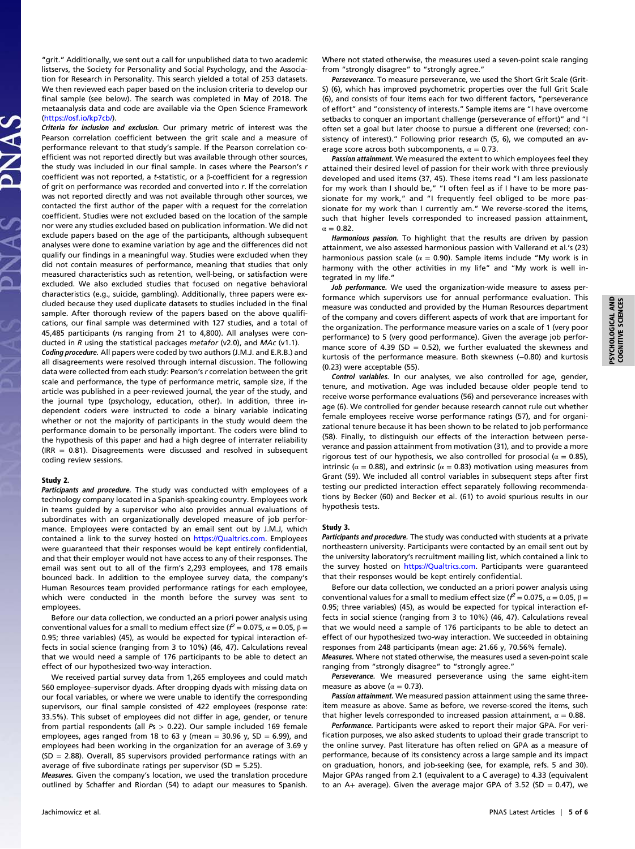"grit." Additionally, we sent out a call for unpublished data to two academic listservs, the Society for Personality and Social Psychology, and the Association for Research in Personality. This search yielded a total of 253 datasets. We then reviewed each paper based on the inclusion criteria to develop our final sample (see below). The search was completed in May of 2018. The metaanalysis data and code are available via the Open Science Framework (<https://osf.io/kp7cb/>).

Criteria for inclusion and exclusion. Our primary metric of interest was the Pearson correlation coefficient between the grit scale and a measure of performance relevant to that study's sample. If the Pearson correlation coefficient was not reported directly but was available through other sources, the study was included in our final sample. In cases where the Pearson's r coefficient was not reported, a t-statistic, or a  $\beta$ -coefficient for a regression of grit on performance was recorded and converted into r. If the correlation was not reported directly and was not available through other sources, we contacted the first author of the paper with a request for the correlation coefficient. Studies were not excluded based on the location of the sample nor were any studies excluded based on publication information. We did not exclude papers based on the age of the participants, although subsequent analyses were done to examine variation by age and the differences did not qualify our findings in a meaningful way. Studies were excluded when they did not contain measures of performance, meaning that studies that only measured characteristics such as retention, well-being, or satisfaction were excluded. We also excluded studies that focused on negative behavioral characteristics (e.g., suicide, gambling). Additionally, three papers were excluded because they used duplicate datasets to studies included in the final sample. After thorough review of the papers based on the above qualifications, our final sample was determined with 127 studies, and a total of 45,485 participants (ns ranging from 21 to 4,800). All analyses were conducted in R using the statistical packages metafor (v2.0), and MAc (v1.1).

Coding procedure. All papers were coded by two authors (J.M.J. and E.R.B.) and all disagreements were resolved through internal discussion. The following data were collected from each study: Pearson's r correlation between the grit scale and performance, the type of performance metric, sample size, if the article was published in a peer-reviewed journal, the year of the study, and the journal type (psychology, education, other). In addition, three independent coders were instructed to code a binary variable indicating whether or not the majority of participants in the study would deem the performance domain to be personally important. The coders were blind to the hypothesis of this paper and had a high degree of interrater reliability  $(IRR = 0.81)$ . Disagreements were discussed and resolved in subsequent coding review sessions.

#### Study 2.

Participants and procedure. The study was conducted with employees of a technology company located in a Spanish-speaking country. Employees work in teams guided by a supervisor who also provides annual evaluations of subordinates with an organizationally developed measure of job performance. Employees were contacted by an email sent out by J.M.J, which contained a link to the survey hosted on <https://Qualtrics.com>. Employees were guaranteed that their responses would be kept entirely confidential, and that their employer would not have access to any of their responses. The email was sent out to all of the firm's 2,293 employees, and 178 emails bounced back. In addition to the employee survey data, the company's Human Resources team provided performance ratings for each employee, which were conducted in the month before the survey was sent to employees.

Before our data collection, we conducted an a priori power analysis using conventional values for a small to medium effect size ( $\mathit{f}^2=0.075$ , α = 0.05, β = 0.95; three variables) (45), as would be expected for typical interaction effects in social science (ranging from 3 to 10%) (46, 47). Calculations reveal that we would need a sample of 176 participants to be able to detect an effect of our hypothesized two-way interaction.

We received partial survey data from 1,265 employees and could match 560 employee–supervisor dyads. After dropping dyads with missing data on our focal variables, or where we were unable to identify the corresponding supervisors, our final sample consisted of 422 employees (response rate: 33.5%). This subset of employees did not differ in age, gender, or tenure from partial respondents (all  $Ps > 0.22$ ). Our sample included 169 female employees, ages ranged from 18 to 63 y (mean = 30.96 y, SD = 6.99), and employees had been working in the organization for an average of 3.69 y (SD = 2.88). Overall, 85 supervisors provided performance ratings with an average of five subordinate ratings per supervisor (SD =  $5.25$ ).

Measures. Given the company's location, we used the translation procedure outlined by Schaffer and Riordan (54) to adapt our measures to Spanish.

Where not stated otherwise, the measures used a seven-point scale ranging from "strongly disagree" to "strongly agree."

Perseverance. To measure perseverance, we used the Short Grit Scale (Grit-S) (6), which has improved psychometric properties over the full Grit Scale (6), and consists of four items each for two different factors, "perseverance of effort" and "consistency of interests." Sample items are "I have overcome setbacks to conquer an important challenge (perseverance of effort)" and "I often set a goal but later choose to pursue a different one (reversed; consistency of interest)." Following prior research (5, 6), we computed an average score across both subcomponents,  $\alpha = 0.73$ .

Passion attainment. We measured the extent to which employees feel they attained their desired level of passion for their work with three previously developed and used items (37, 45). These items read "I am less passionate for my work than I should be," "I often feel as if I have to be more passionate for my work," and "I frequently feel obliged to be more passionate for my work than I currently am." We reverse-scored the items, such that higher levels corresponded to increased passion attainment,  $\alpha = 0.82$ .

Harmonious passion. To highlight that the results are driven by passion attainment, we also assessed harmonious passion with Vallerand et al.'s (23) harmonious passion scale ( $\alpha$  = 0.90). Sample items include "My work is in harmony with the other activities in my life" and "My work is well integrated in my life."

Job performance. We used the organization-wide measure to assess performance which supervisors use for annual performance evaluation. This measure was conducted and provided by the Human Resources department of the company and covers different aspects of work that are important for the organization. The performance measure varies on a scale of 1 (very poor performance) to 5 (very good performance). Given the average job performance score of 4.39 (SD = 0.52), we further evaluated the skewness and kurtosis of the performance measure. Both skewness (−0.80) and kurtosis (0.23) were acceptable (55).

Control variables. In our analyses, we also controlled for age, gender, tenure, and motivation. Age was included because older people tend to receive worse performance evaluations (56) and perseverance increases with age (6). We controlled for gender because research cannot rule out whether female employees receive worse performance ratings (57), and for organizational tenure because it has been shown to be related to job performance (58). Finally, to distinguish our effects of the interaction between perseverance and passion attainment from motivation (31), and to provide a more rigorous test of our hypothesis, we also controlled for prosocial ( $\alpha = 0.85$ ), intrinsic ( $\alpha = 0.88$ ), and extrinsic ( $\alpha = 0.83$ ) motivation using measures from Grant (59). We included all control variables in subsequent steps after first testing our predicted interaction effect separately following recommendations by Becker (60) and Becker et al. (61) to avoid spurious results in our hypothesis tests.

#### Study 3.

Participants and procedure. The study was conducted with students at a private northeastern university. Participants were contacted by an email sent out by the university laboratory's recruitment mailing list, which contained a link to the survey hosted on <https://Qualtrics.com>. Participants were guaranteed that their responses would be kept entirely confidential.

Before our data collection, we conducted an a priori power analysis using conventional values for a small to medium effect size ( $f^2$  = 0.075, α = 0.05, β = 0.95; three variables) (45), as would be expected for typical interaction effects in social science (ranging from 3 to 10%) (46, 47). Calculations reveal that we would need a sample of 176 participants to be able to detect an effect of our hypothesized two-way interaction. We succeeded in obtaining responses from 248 participants (mean age: 21.66 y, 70.56% female).

Measures. Where not stated otherwise, the measures used a seven-point scale ranging from "strongly disagree" to "strongly agree."

Perseverance. We measured perseverance using the same eight-item measure as above ( $\alpha = 0.73$ ).

Passion attainment. We measured passion attainment using the same threeitem measure as above. Same as before, we reverse-scored the items, such that higher levels corresponded to increased passion attainment,  $\alpha = 0.88$ .

Performance. Participants were asked to report their major GPA. For verification purposes, we also asked students to upload their grade transcript to the online survey. Past literature has often relied on GPA as a measure of performance, because of its consistency across a large sample and its impact on graduation, honors, and job-seeking (see, for example, refs. 5 and 30). Major GPAs ranged from 2.1 (equivalent to a C average) to 4.33 (equivalent to an A+ average). Given the average major GPA of 3.52 (SD = 0.47), we